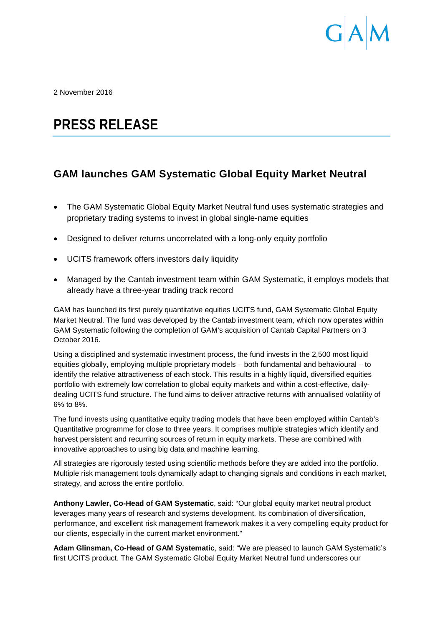

2 November 2016

# **PRESS RELEASE**

## **GAM launches GAM Systematic Global Equity Market Neutral**

- The GAM Systematic Global Equity Market Neutral fund uses systematic strategies and proprietary trading systems to invest in global single-name equities
- Designed to deliver returns uncorrelated with a long-only equity portfolio
- UCITS framework offers investors daily liquidity
- Managed by the Cantab investment team within GAM Systematic, it employs models that already have a three-year trading track record

GAM has launched its first purely quantitative equities UCITS fund, GAM Systematic Global Equity Market Neutral. The fund was developed by the Cantab investment team, which now operates within GAM Systematic following the completion of GAM's acquisition of Cantab Capital Partners on 3 October 2016.

Using a disciplined and systematic investment process, the fund invests in the 2,500 most liquid equities globally, employing multiple proprietary models – both fundamental and behavioural – to identify the relative attractiveness of each stock. This results in a highly liquid, diversified equities portfolio with extremely low correlation to global equity markets and within a cost-effective, dailydealing UCITS fund structure. The fund aims to deliver attractive returns with annualised volatility of 6% to 8%.

The fund invests using quantitative equity trading models that have been employed within Cantab's Quantitative programme for close to three years. It comprises multiple strategies which identify and harvest persistent and recurring sources of return in equity markets. These are combined with innovative approaches to using big data and machine learning.

All strategies are rigorously tested using scientific methods before they are added into the portfolio. Multiple risk management tools dynamically adapt to changing signals and conditions in each market, strategy, and across the entire portfolio.

**Anthony Lawler, Co-Head of GAM Systematic**, said: "Our global equity market neutral product leverages many years of research and systems development. Its combination of diversification, performance, and excellent risk management framework makes it a very compelling equity product for our clients, especially in the current market environment."

**Adam Glinsman, Co-Head of GAM Systematic**, said: "We are pleased to launch GAM Systematic's first UCITS product. The GAM Systematic Global Equity Market Neutral fund underscores our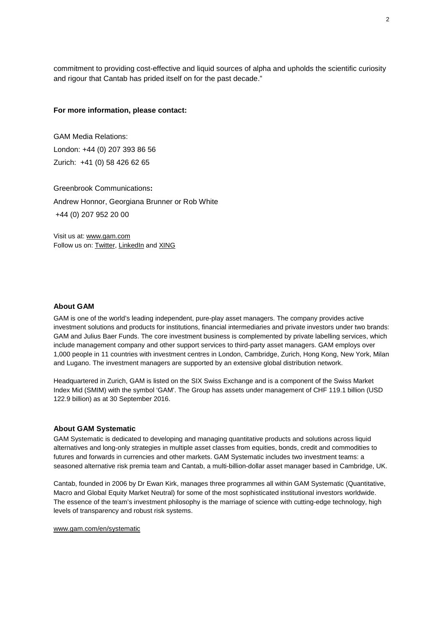commitment to providing cost-effective and liquid sources of alpha and upholds the scientific curiosity and rigour that Cantab has prided itself on for the past decade."

#### **For more information, please contact:**

GAM Media Relations: London: +44 (0) 207 393 86 56 Zurich: +41 (0) 58 426 62 65

Greenbrook Communications**:** Andrew Honnor, Georgiana Brunner or Rob White +44 (0) 207 952 20 00

Visit us at: [www.gam.com](http://www.gam.com/) Follow us on[: Twitter,](https://twitter.com/gaminsights) [LinkedIn](https://www.linkedin.com/company/gam?trk=company_logo) an[d XING](https://www.xing.com/companies/gam)

#### **About GAM**

GAM is one of the world's leading independent, pure-play asset managers. The company provides active investment solutions and products for institutions, financial intermediaries and private investors under two brands: GAM and Julius Baer Funds. The core investment business is complemented by private labelling services, which include management company and other support services to third-party asset managers. GAM employs over 1,000 people in 11 countries with investment centres in London, Cambridge, Zurich, Hong Kong, New York, Milan and Lugano. The investment managers are supported by an extensive global distribution network.

Headquartered in Zurich, GAM is listed on the SIX Swiss Exchange and is a component of the Swiss Market Index Mid (SMIM) with the symbol 'GAM'. The Group has assets under management of CHF 119.1 billion (USD 122.9 billion) as at 30 September 2016.

### **About GAM Systematic**

GAM Systematic is dedicated to developing and managing quantitative products and solutions across liquid alternatives and long-only strategies in multiple asset classes from equities, bonds, credit and commodities to futures and forwards in currencies and other markets. GAM Systematic includes two investment teams: a seasoned alternative risk premia team and Cantab, a multi-billion-dollar asset manager based in Cambridge, UK.

Cantab, founded in 2006 by Dr Ewan Kirk, manages three programmes all within GAM Systematic (Quantitative, Macro and Global Equity Market Neutral) for some of the most sophisticated institutional investors worldwide. The essence of the team's investment philosophy is the marriage of science with cutting-edge technology, high levels of transparency and robust risk systems.

#### [www.gam.com/en/systematic](http://www.gam.com/en/systematic)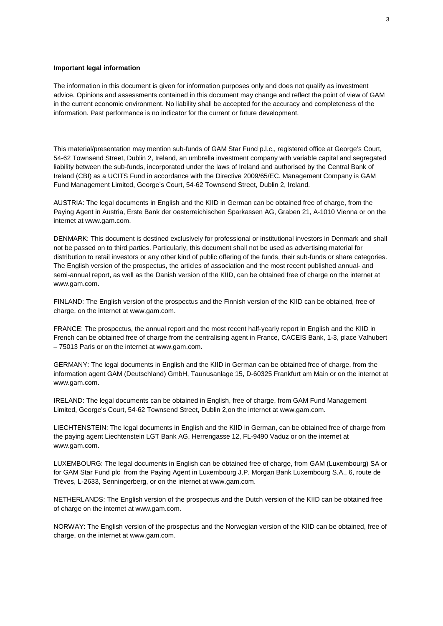#### **Important legal information**

The information in this document is given for information purposes only and does not qualify as investment advice. Opinions and assessments contained in this document may change and reflect the point of view of GAM in the current economic environment. No liability shall be accepted for the accuracy and completeness of the information. Past performance is no indicator for the current or future development.

This material/presentation may mention sub-funds of GAM Star Fund p.l.c., registered office at George's Court, 54-62 Townsend Street, Dublin 2, Ireland, an umbrella investment company with variable capital and segregated liability between the sub-funds, incorporated under the laws of Ireland and authorised by the Central Bank of Ireland (CBI) as a UCITS Fund in accordance with the Directive 2009/65/EC. Management Company is GAM Fund Management Limited, George's Court, 54-62 Townsend Street, Dublin 2, Ireland.

AUSTRIA: The legal documents in English and the KIID in German can be obtained free of charge, from the Paying Agent in Austria, Erste Bank der oesterreichischen Sparkassen AG, Graben 21, A-1010 Vienna or on the internet at www.gam.com.

DENMARK: This document is destined exclusively for professional or institutional investors in Denmark and shall not be passed on to third parties. Particularly, this document shall not be used as advertising material for distribution to retail investors or any other kind of public offering of the funds, their sub-funds or share categories. The English version of the prospectus, the articles of association and the most recent published annual- and semi-annual report, as well as the Danish version of the KIID, can be obtained free of charge on the internet at www.gam.com.

FINLAND: The English version of the prospectus and the Finnish version of the KIID can be obtained, free of charge, on the internet at www.gam.com.

FRANCE: The prospectus, the annual report and the most recent half-yearly report in English and the KIID in French can be obtained free of charge from the centralising agent in France, CACEIS Bank, 1-3, place Valhubert – 75013 Paris or on the internet at www.gam.com.

GERMANY: The legal documents in English and the KIID in German can be obtained free of charge, from the information agent GAM (Deutschland) GmbH, Taunusanlage 15, D-60325 Frankfurt am Main or on the internet at www.gam.com.

IRELAND: The legal documents can be obtained in English, free of charge, from GAM Fund Management Limited, George's Court, 54-62 Townsend Street, Dublin 2,on the internet at www.gam.com.

LIECHTENSTEIN: The legal documents in English and the KIID in German, can be obtained free of charge from the paying agent Liechtenstein LGT Bank AG, Herrengasse 12, FL-9490 Vaduz or on the internet at www.gam.com.

LUXEMBOURG: The legal documents in English can be obtained free of charge, from GAM (Luxembourg) SA or for GAM Star Fund plc from the Paying Agent in Luxembourg J.P. Morgan Bank Luxembourg S.A., 6, route de Trèves, L-2633, Senningerberg, or on the internet at www.gam.com.

NETHERLANDS: The English version of the prospectus and the Dutch version of the KIID can be obtained free of charge on the internet at www.gam.com.

NORWAY: The English version of the prospectus and the Norwegian version of the KIID can be obtained, free of charge, on the internet at www.gam.com.